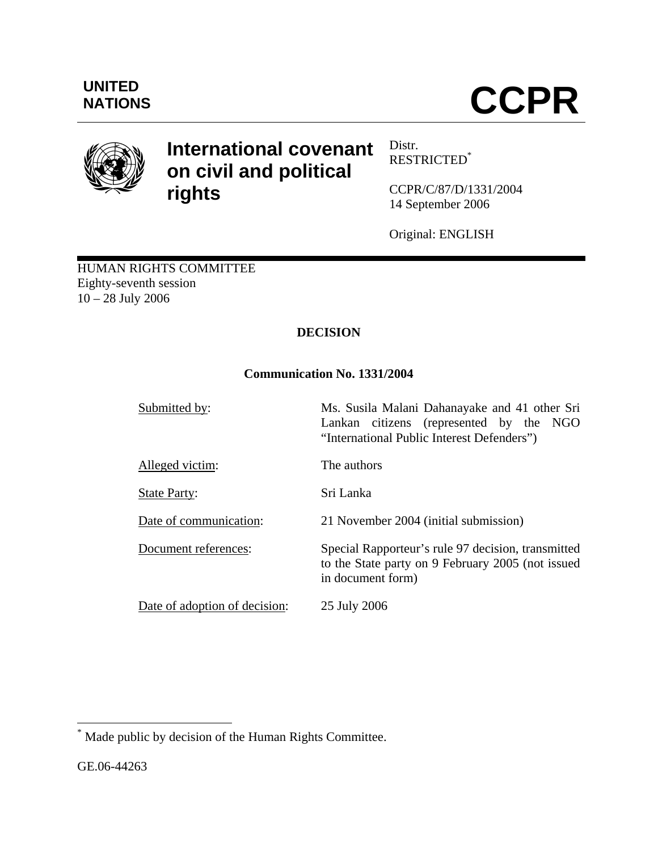

# **International covenant on civil and political rights**

Distr. RESTRICTED\*

CCPR/C/87/D/1331/2004 14 September 2006

Original: ENGLISH

HUMAN RIGHTS COMMITTEE Eighty-seventh session 10 – 28 July 2006

# **DECISION**

# **Communication No. 1331/2004**

Submitted by: Ms. Susila Malani Dahanayake and 41 other Sri Lankan citizens (represented by the NGO "International Public Interest Defenders") Alleged victim: The authors State Party: Sri Lanka Date of communication: 21 November 2004 (initial submission) Document references: Special Rapporteur's rule 97 decision, transmitted to the State party on 9 February 2005 (not issued in document form) Date of adoption of decision: 25 July 2006

1

<sup>\*</sup> Made public by decision of the Human Rights Committee.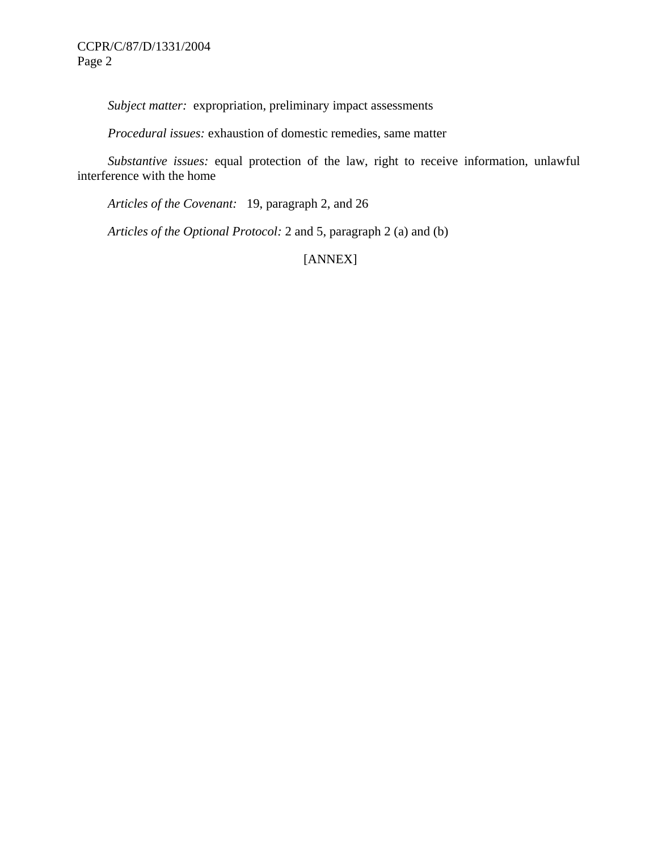*Subject matter:* expropriation, preliminary impact assessments

 *Procedural issues:* exhaustion of domestic remedies, same matter

 *Substantive issues:* equal protection of the law, right to receive information, unlawful interference with the home

 *Articles of the Covenant:* 19, paragraph 2, and 26

 *Articles of the Optional Protocol:* 2 and 5, paragraph 2 (a) and (b)

[ANNEX]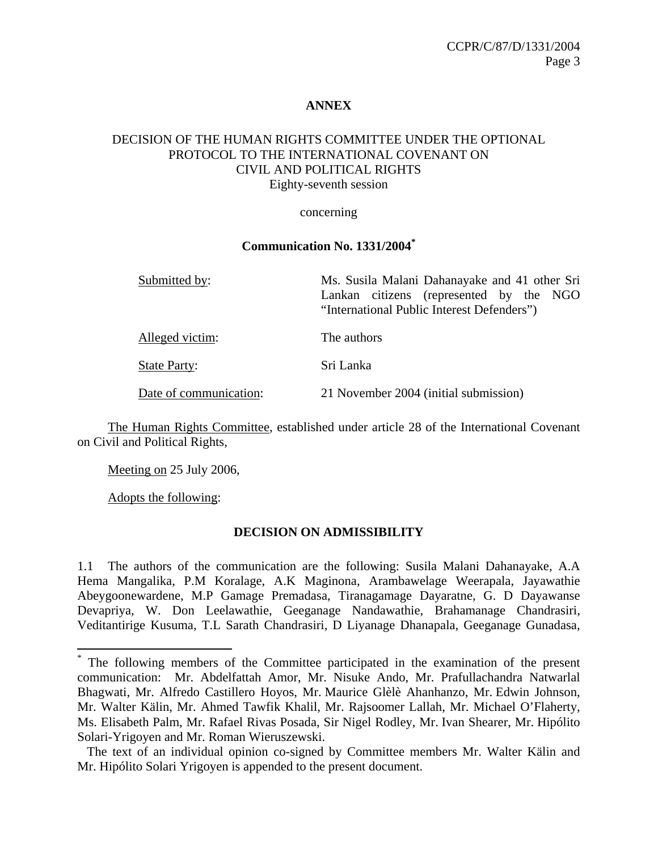#### **ANNEX**

#### DECISION OF THE HUMAN RIGHTS COMMITTEE UNDER THE OPTIONAL PROTOCOL TO THE INTERNATIONAL COVENANT ON CIVIL AND POLITICAL RIGHTS Eighty-seventh session

#### concerning

#### **Communication No. 1331/2004\***

| Submitted by:          | Ms. Susila Malani Dahanayake and 41 other Sri                                         |
|------------------------|---------------------------------------------------------------------------------------|
|                        | Lankan citizens (represented by the NGO<br>"International Public Interest Defenders") |
| Alleged victim:        | The authors                                                                           |
| <b>State Party:</b>    | Sri Lanka                                                                             |
| Date of communication: | 21 November 2004 (initial submission)                                                 |

 The Human Rights Committee, established under article 28 of the International Covenant on Civil and Political Rights,

Meeting on 25 July 2006,

Adopts the following:

 $\overline{a}$ 

## **DECISION ON ADMISSIBILITY**

<sup>1.1</sup> The authors of the communication are the following: Susila Malani Dahanayake, A.A Hema Mangalika, P.M Koralage, A.K Maginona, Arambawelage Weerapala, Jayawathie Abeygoonewardene, M.P Gamage Premadasa, Tiranagamage Dayaratne, G. D Dayawanse Devapriya, W. Don Leelawathie, Geeganage Nandawathie, Brahamanage Chandrasiri, Veditantirige Kusuma, T.L Sarath Chandrasiri, D Liyanage Dhanapala, Geeganage Gunadasa,

<sup>\*</sup> The following members of the Committee participated in the examination of the present communication: Mr. Abdelfattah Amor, Mr. Nisuke Ando, Mr. Prafullachandra Natwarlal Bhagwati, Mr. Alfredo Castillero Hoyos, Mr. Maurice Glèlè Ahanhanzo, Mr. Edwin Johnson, Mr. Walter Kälin, Mr. Ahmed Tawfik Khalil, Mr. Rajsoomer Lallah, Mr. Michael O'Flaherty, Ms. Elisabeth Palm, Mr. Rafael Rivas Posada, Sir Nigel Rodley, Mr. Ivan Shearer, Mr. Hipólito Solari-Yrigoyen and Mr. Roman Wieruszewski.

The text of an individual opinion co-signed by Committee members Mr. Walter Kälin and Mr. Hipólito Solari Yrigoyen is appended to the present document.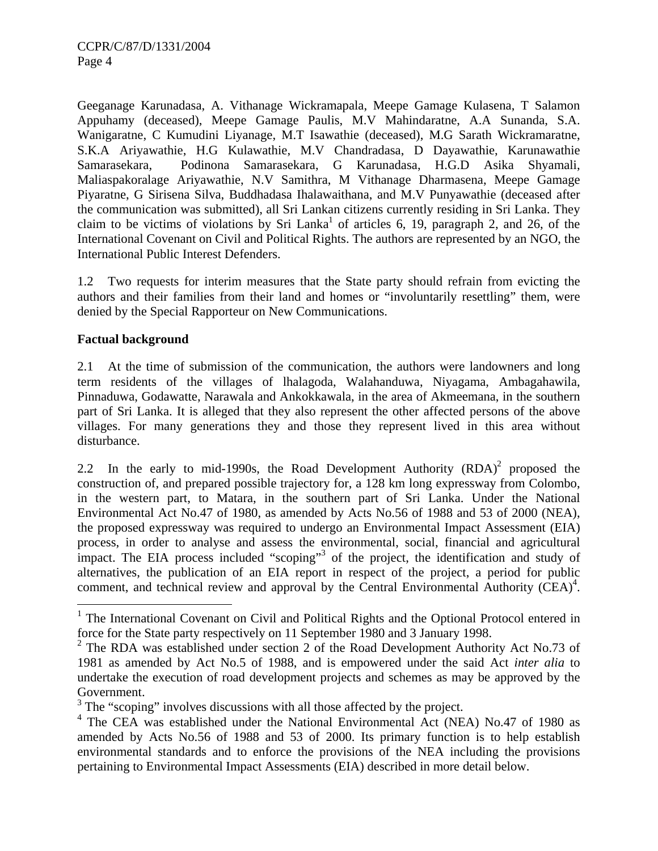Geeganage Karunadasa, A. Vithanage Wickramapala, Meepe Gamage Kulasena, T Salamon Appuhamy (deceased), Meepe Gamage Paulis, M.V Mahindaratne, A.A Sunanda, S.A. Wanigaratne, C Kumudini Liyanage, M.T Isawathie (deceased), M.G Sarath Wickramaratne, S.K.A Ariyawathie, H.G Kulawathie, M.V Chandradasa, D Dayawathie, Karunawathie Samarasekara, Podinona Samarasekara, G Karunadasa, H.G.D Asika Shyamali, Maliaspakoralage Ariyawathie, N.V Samithra, M Vithanage Dharmasena, Meepe Gamage Piyaratne, G Sirisena Silva, Buddhadasa Ihalawaithana, and M.V Punyawathie (deceased after the communication was submitted), all Sri Lankan citizens currently residing in Sri Lanka. They claim to be victims of violations by Sri Lanka<sup>1</sup> of articles 6, 19, paragraph 2, and 26, of the International Covenant on Civil and Political Rights. The authors are represented by an NGO, the International Public Interest Defenders.

1.2 Two requests for interim measures that the State party should refrain from evicting the authors and their families from their land and homes or "involuntarily resettling" them, were denied by the Special Rapporteur on New Communications.

### **Factual background**

<u>.</u>

2.1 At the time of submission of the communication, the authors were landowners and long term residents of the villages of lhalagoda, Walahanduwa, Niyagama, Ambagahawila, Pinnaduwa, Godawatte, Narawala and Ankokkawala, in the area of Akmeemana, in the southern part of Sri Lanka. It is alleged that they also represent the other affected persons of the above villages. For many generations they and those they represent lived in this area without disturbance.

2.2 In the early to mid-1990s, the Road Development Authority  $(RDA)^2$  proposed the construction of, and prepared possible trajectory for, a 128 km long expressway from Colombo, in the western part, to Matara, in the southern part of Sri Lanka. Under the National Environmental Act No.47 of 1980, as amended by Acts No.56 of 1988 and 53 of 2000 (NEA), the proposed expressway was required to undergo an Environmental Impact Assessment (EIA) process, in order to analyse and assess the environmental, social, financial and agricultural impact. The EIA process included "scoping"<sup>3</sup> of the project, the identification and study of alternatives, the publication of an EIA report in respect of the project, a period for public comment, and technical review and approval by the Central Environmental Authority  $(CEA)^4$ .

<sup>&</sup>lt;sup>1</sup> The International Covenant on Civil and Political Rights and the Optional Protocol entered in force for the State party respectively on 11 September 1980 and 3 January 1998.

<sup>&</sup>lt;sup>2</sup> The RDA was established under section 2 of the Road Development Authority Act No.73 of 1981 as amended by Act No.5 of 1988, and is empowered under the said Act *inter alia* to undertake the execution of road development projects and schemes as may be approved by the Government.

 $3$  The "scoping" involves discussions with all those affected by the project.

<sup>&</sup>lt;sup>4</sup> The CEA was established under the National Environmental Act (NEA) No.47 of 1980 as amended by Acts No.56 of 1988 and 53 of 2000. Its primary function is to help establish environmental standards and to enforce the provisions of the NEA including the provisions pertaining to Environmental Impact Assessments (EIA) described in more detail below.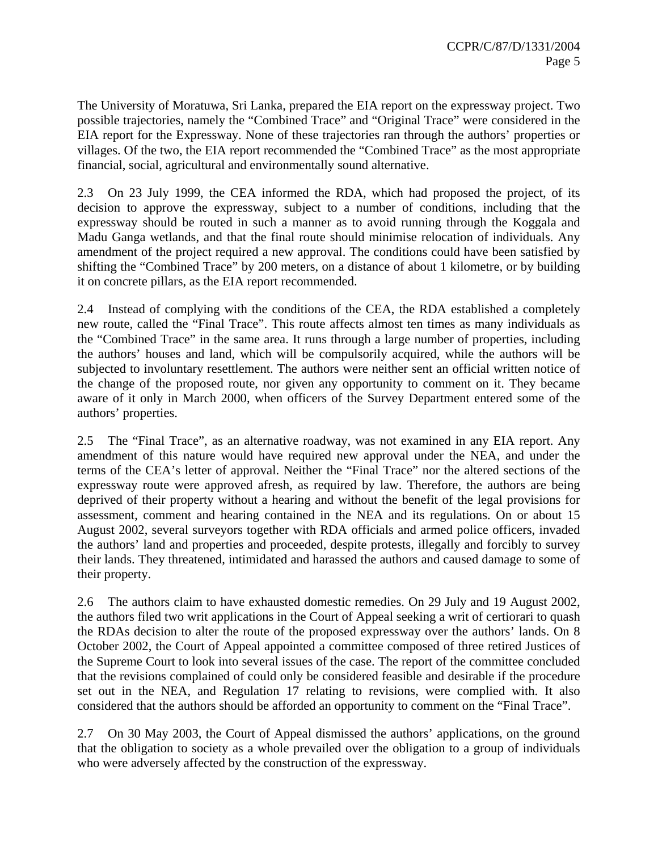The University of Moratuwa, Sri Lanka, prepared the EIA report on the expressway project. Two possible trajectories, namely the "Combined Trace" and "Original Trace" were considered in the EIA report for the Expressway. None of these trajectories ran through the authors' properties or villages. Of the two, the EIA report recommended the "Combined Trace" as the most appropriate financial, social, agricultural and environmentally sound alternative.

2.3 On 23 July 1999, the CEA informed the RDA, which had proposed the project, of its decision to approve the expressway, subject to a number of conditions, including that the expressway should be routed in such a manner as to avoid running through the Koggala and Madu Ganga wetlands, and that the final route should minimise relocation of individuals. Any amendment of the project required a new approval. The conditions could have been satisfied by shifting the "Combined Trace" by 200 meters, on a distance of about 1 kilometre, or by building it on concrete pillars, as the EIA report recommended.

2.4 Instead of complying with the conditions of the CEA, the RDA established a completely new route, called the "Final Trace". This route affects almost ten times as many individuals as the "Combined Trace" in the same area. It runs through a large number of properties, including the authors' houses and land, which will be compulsorily acquired, while the authors will be subjected to involuntary resettlement. The authors were neither sent an official written notice of the change of the proposed route, nor given any opportunity to comment on it. They became aware of it only in March 2000, when officers of the Survey Department entered some of the authors' properties.

2.5 The "Final Trace", as an alternative roadway, was not examined in any EIA report. Any amendment of this nature would have required new approval under the NEA, and under the terms of the CEA's letter of approval. Neither the "Final Trace" nor the altered sections of the expressway route were approved afresh, as required by law. Therefore, the authors are being deprived of their property without a hearing and without the benefit of the legal provisions for assessment, comment and hearing contained in the NEA and its regulations. On or about 15 August 2002, several surveyors together with RDA officials and armed police officers, invaded the authors' land and properties and proceeded, despite protests, illegally and forcibly to survey their lands. They threatened, intimidated and harassed the authors and caused damage to some of their property.

2.6 The authors claim to have exhausted domestic remedies. On 29 July and 19 August 2002, the authors filed two writ applications in the Court of Appeal seeking a writ of certiorari to quash the RDAs decision to alter the route of the proposed expressway over the authors' lands. On 8 October 2002, the Court of Appeal appointed a committee composed of three retired Justices of the Supreme Court to look into several issues of the case. The report of the committee concluded that the revisions complained of could only be considered feasible and desirable if the procedure set out in the NEA, and Regulation 17 relating to revisions, were complied with. It also considered that the authors should be afforded an opportunity to comment on the "Final Trace".

2.7 On 30 May 2003, the Court of Appeal dismissed the authors' applications, on the ground that the obligation to society as a whole prevailed over the obligation to a group of individuals who were adversely affected by the construction of the expressway.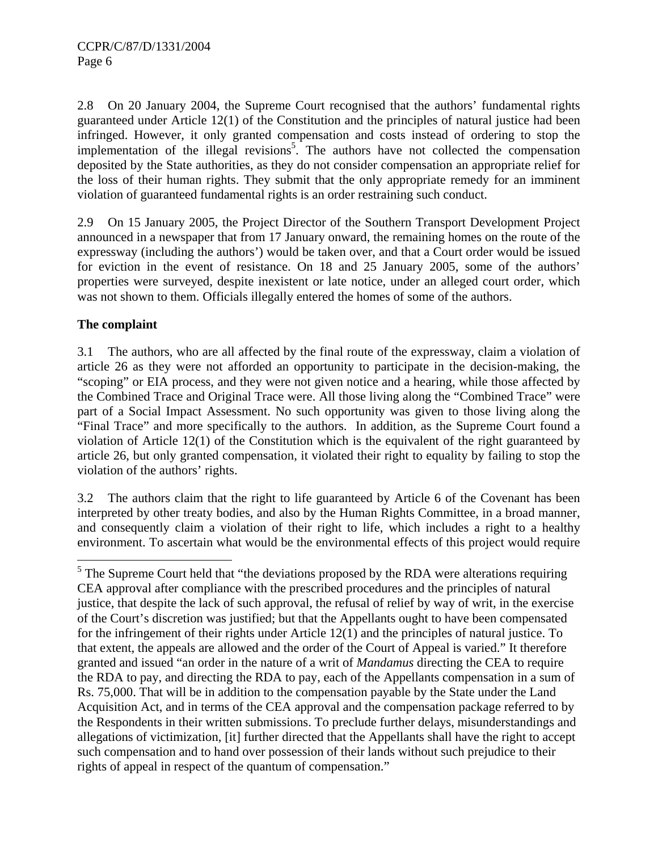2.8 On 20 January 2004, the Supreme Court recognised that the authors' fundamental rights guaranteed under Article 12(1) of the Constitution and the principles of natural justice had been infringed. However, it only granted compensation and costs instead of ordering to stop the implementation of the illegal revisions<sup>5</sup>. The authors have not collected the compensation deposited by the State authorities, as they do not consider compensation an appropriate relief for the loss of their human rights. They submit that the only appropriate remedy for an imminent violation of guaranteed fundamental rights is an order restraining such conduct.

2.9 On 15 January 2005, the Project Director of the Southern Transport Development Project announced in a newspaper that from 17 January onward, the remaining homes on the route of the expressway (including the authors') would be taken over, and that a Court order would be issued for eviction in the event of resistance. On 18 and 25 January 2005, some of the authors' properties were surveyed, despite inexistent or late notice, under an alleged court order, which was not shown to them. Officials illegally entered the homes of some of the authors.

# **The complaint**

3.1 The authors, who are all affected by the final route of the expressway, claim a violation of article 26 as they were not afforded an opportunity to participate in the decision-making, the "scoping" or EIA process, and they were not given notice and a hearing, while those affected by the Combined Trace and Original Trace were. All those living along the "Combined Trace" were part of a Social Impact Assessment. No such opportunity was given to those living along the "Final Trace" and more specifically to the authors. In addition, as the Supreme Court found a violation of Article 12(1) of the Constitution which is the equivalent of the right guaranteed by article 26, but only granted compensation, it violated their right to equality by failing to stop the violation of the authors' rights.

3.2 The authors claim that the right to life guaranteed by Article 6 of the Covenant has been interpreted by other treaty bodies, and also by the Human Rights Committee, in a broad manner, and consequently claim a violation of their right to life, which includes a right to a healthy environment. To ascertain what would be the environmental effects of this project would require

<sup>&</sup>lt;sup>5</sup> The Supreme Court held that "the deviations proposed by the RDA were alterations requiring CEA approval after compliance with the prescribed procedures and the principles of natural justice, that despite the lack of such approval, the refusal of relief by way of writ, in the exercise of the Court's discretion was justified; but that the Appellants ought to have been compensated for the infringement of their rights under Article 12(1) and the principles of natural justice. To that extent, the appeals are allowed and the order of the Court of Appeal is varied." It therefore granted and issued "an order in the nature of a writ of *Mandamus* directing the CEA to require the RDA to pay, and directing the RDA to pay, each of the Appellants compensation in a sum of Rs. 75,000. That will be in addition to the compensation payable by the State under the Land Acquisition Act, and in terms of the CEA approval and the compensation package referred to by the Respondents in their written submissions. To preclude further delays, misunderstandings and allegations of victimization, [it] further directed that the Appellants shall have the right to accept such compensation and to hand over possession of their lands without such prejudice to their rights of appeal in respect of the quantum of compensation."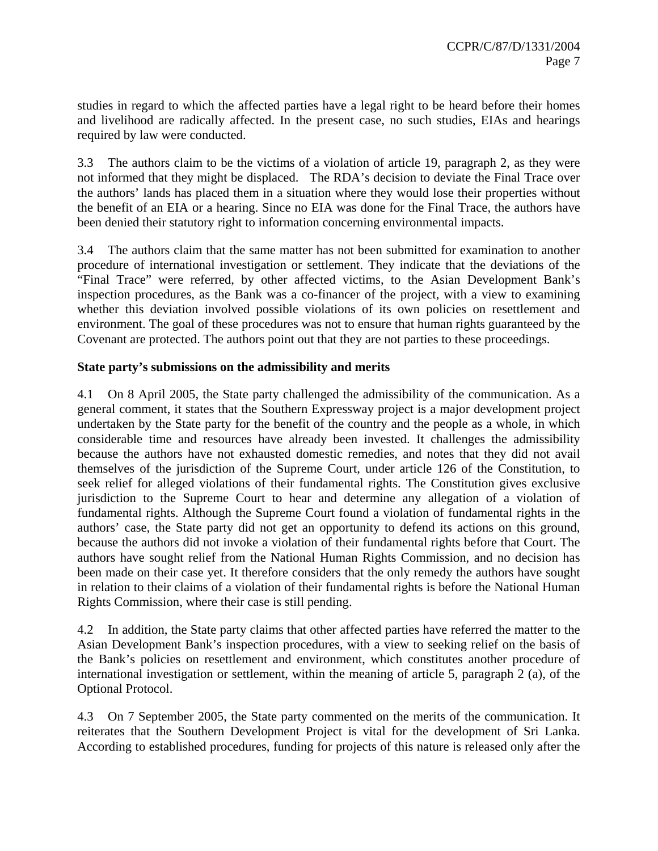studies in regard to which the affected parties have a legal right to be heard before their homes and livelihood are radically affected. In the present case, no such studies, EIAs and hearings required by law were conducted.

3.3 The authors claim to be the victims of a violation of article 19, paragraph 2, as they were not informed that they might be displaced. The RDA's decision to deviate the Final Trace over the authors' lands has placed them in a situation where they would lose their properties without the benefit of an EIA or a hearing. Since no EIA was done for the Final Trace, the authors have been denied their statutory right to information concerning environmental impacts.

3.4 The authors claim that the same matter has not been submitted for examination to another procedure of international investigation or settlement. They indicate that the deviations of the "Final Trace" were referred, by other affected victims, to the Asian Development Bank's inspection procedures, as the Bank was a co-financer of the project, with a view to examining whether this deviation involved possible violations of its own policies on resettlement and environment. The goal of these procedures was not to ensure that human rights guaranteed by the Covenant are protected. The authors point out that they are not parties to these proceedings.

## **State party's submissions on the admissibility and merits**

4.1 On 8 April 2005, the State party challenged the admissibility of the communication. As a general comment, it states that the Southern Expressway project is a major development project undertaken by the State party for the benefit of the country and the people as a whole, in which considerable time and resources have already been invested. It challenges the admissibility because the authors have not exhausted domestic remedies, and notes that they did not avail themselves of the jurisdiction of the Supreme Court, under article 126 of the Constitution, to seek relief for alleged violations of their fundamental rights. The Constitution gives exclusive jurisdiction to the Supreme Court to hear and determine any allegation of a violation of fundamental rights. Although the Supreme Court found a violation of fundamental rights in the authors' case, the State party did not get an opportunity to defend its actions on this ground, because the authors did not invoke a violation of their fundamental rights before that Court. The authors have sought relief from the National Human Rights Commission, and no decision has been made on their case yet. It therefore considers that the only remedy the authors have sought in relation to their claims of a violation of their fundamental rights is before the National Human Rights Commission, where their case is still pending.

4.2 In addition, the State party claims that other affected parties have referred the matter to the Asian Development Bank's inspection procedures, with a view to seeking relief on the basis of the Bank's policies on resettlement and environment, which constitutes another procedure of international investigation or settlement, within the meaning of article 5, paragraph 2 (a), of the Optional Protocol.

4.3 On 7 September 2005, the State party commented on the merits of the communication. It reiterates that the Southern Development Project is vital for the development of Sri Lanka. According to established procedures, funding for projects of this nature is released only after the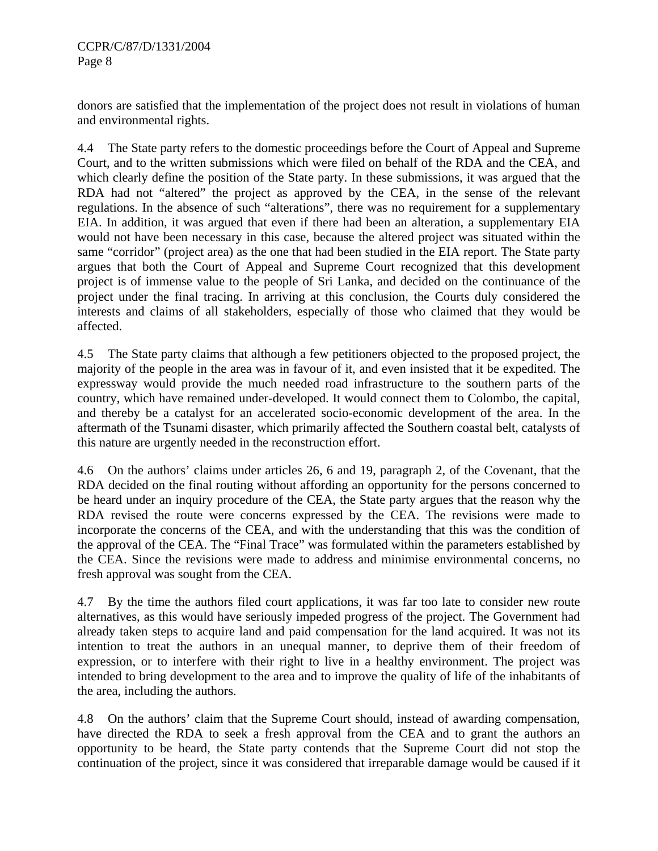donors are satisfied that the implementation of the project does not result in violations of human and environmental rights.

4.4 The State party refers to the domestic proceedings before the Court of Appeal and Supreme Court, and to the written submissions which were filed on behalf of the RDA and the CEA, and which clearly define the position of the State party. In these submissions, it was argued that the RDA had not "altered" the project as approved by the CEA, in the sense of the relevant regulations. In the absence of such "alterations", there was no requirement for a supplementary EIA. In addition, it was argued that even if there had been an alteration, a supplementary EIA would not have been necessary in this case, because the altered project was situated within the same "corridor" (project area) as the one that had been studied in the EIA report. The State party argues that both the Court of Appeal and Supreme Court recognized that this development project is of immense value to the people of Sri Lanka, and decided on the continuance of the project under the final tracing. In arriving at this conclusion, the Courts duly considered the interests and claims of all stakeholders, especially of those who claimed that they would be affected.

4.5 The State party claims that although a few petitioners objected to the proposed project, the majority of the people in the area was in favour of it, and even insisted that it be expedited. The expressway would provide the much needed road infrastructure to the southern parts of the country, which have remained under-developed. It would connect them to Colombo, the capital, and thereby be a catalyst for an accelerated socio-economic development of the area. In the aftermath of the Tsunami disaster, which primarily affected the Southern coastal belt, catalysts of this nature are urgently needed in the reconstruction effort.

4.6 On the authors' claims under articles 26, 6 and 19, paragraph 2, of the Covenant, that the RDA decided on the final routing without affording an opportunity for the persons concerned to be heard under an inquiry procedure of the CEA, the State party argues that the reason why the RDA revised the route were concerns expressed by the CEA. The revisions were made to incorporate the concerns of the CEA, and with the understanding that this was the condition of the approval of the CEA. The "Final Trace" was formulated within the parameters established by the CEA. Since the revisions were made to address and minimise environmental concerns, no fresh approval was sought from the CEA.

4.7 By the time the authors filed court applications, it was far too late to consider new route alternatives, as this would have seriously impeded progress of the project. The Government had already taken steps to acquire land and paid compensation for the land acquired. It was not its intention to treat the authors in an unequal manner, to deprive them of their freedom of expression, or to interfere with their right to live in a healthy environment. The project was intended to bring development to the area and to improve the quality of life of the inhabitants of the area, including the authors.

4.8 On the authors' claim that the Supreme Court should, instead of awarding compensation, have directed the RDA to seek a fresh approval from the CEA and to grant the authors an opportunity to be heard, the State party contends that the Supreme Court did not stop the continuation of the project, since it was considered that irreparable damage would be caused if it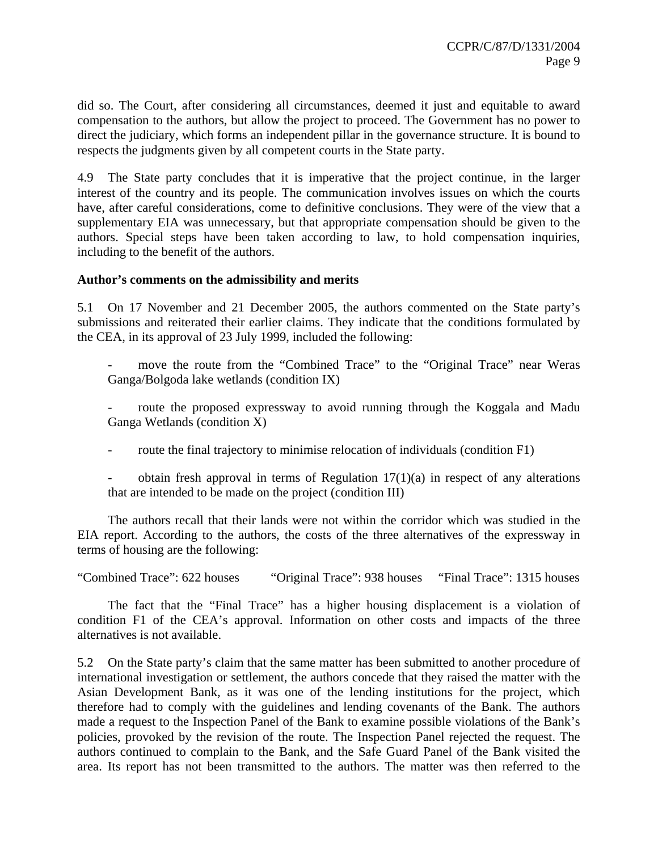did so. The Court, after considering all circumstances, deemed it just and equitable to award compensation to the authors, but allow the project to proceed. The Government has no power to direct the judiciary, which forms an independent pillar in the governance structure. It is bound to respects the judgments given by all competent courts in the State party.

4.9 The State party concludes that it is imperative that the project continue, in the larger interest of the country and its people. The communication involves issues on which the courts have, after careful considerations, come to definitive conclusions. They were of the view that a supplementary EIA was unnecessary, but that appropriate compensation should be given to the authors. Special steps have been taken according to law, to hold compensation inquiries, including to the benefit of the authors.

#### **Author's comments on the admissibility and merits**

5.1 On 17 November and 21 December 2005, the authors commented on the State party's submissions and reiterated their earlier claims. They indicate that the conditions formulated by the CEA, in its approval of 23 July 1999, included the following:

move the route from the "Combined Trace" to the "Original Trace" near Weras Ganga/Bolgoda lake wetlands (condition IX)

route the proposed expressway to avoid running through the Koggala and Madu Ganga Wetlands (condition X)

route the final trajectory to minimise relocation of individuals (condition F1)

obtain fresh approval in terms of Regulation  $17(1)(a)$  in respect of any alterations that are intended to be made on the project (condition III)

 The authors recall that their lands were not within the corridor which was studied in the EIA report. According to the authors, the costs of the three alternatives of the expressway in terms of housing are the following:

"Combined Trace": 622 houses "Original Trace": 938 houses "Final Trace": 1315 houses

 The fact that the "Final Trace" has a higher housing displacement is a violation of condition F1 of the CEA's approval. Information on other costs and impacts of the three alternatives is not available.

5.2 On the State party's claim that the same matter has been submitted to another procedure of international investigation or settlement, the authors concede that they raised the matter with the Asian Development Bank, as it was one of the lending institutions for the project, which therefore had to comply with the guidelines and lending covenants of the Bank. The authors made a request to the Inspection Panel of the Bank to examine possible violations of the Bank's policies, provoked by the revision of the route. The Inspection Panel rejected the request. The authors continued to complain to the Bank, and the Safe Guard Panel of the Bank visited the area. Its report has not been transmitted to the authors. The matter was then referred to the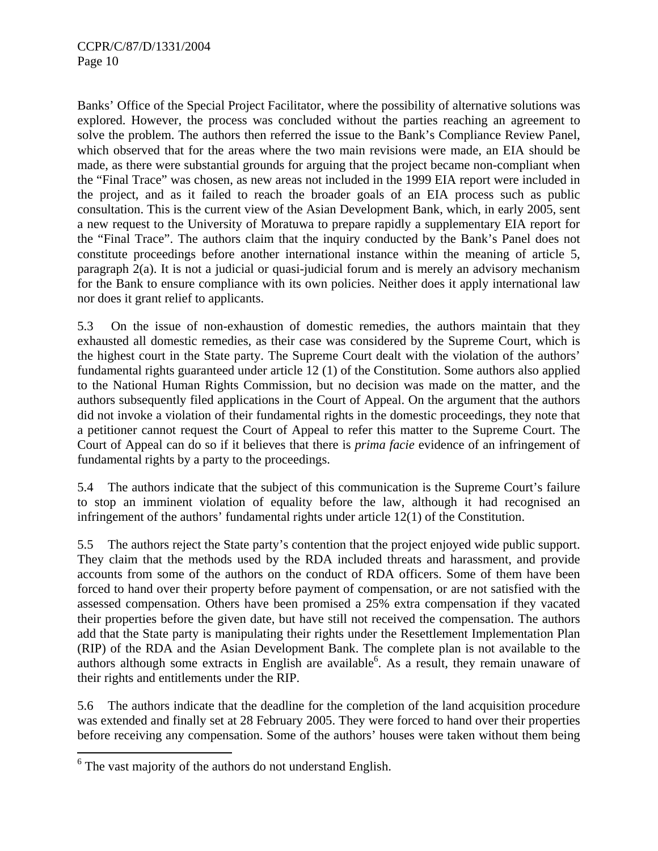Banks' Office of the Special Project Facilitator, where the possibility of alternative solutions was explored. However, the process was concluded without the parties reaching an agreement to solve the problem. The authors then referred the issue to the Bank's Compliance Review Panel, which observed that for the areas where the two main revisions were made, an EIA should be made, as there were substantial grounds for arguing that the project became non-compliant when the "Final Trace" was chosen, as new areas not included in the 1999 EIA report were included in the project, and as it failed to reach the broader goals of an EIA process such as public consultation. This is the current view of the Asian Development Bank, which, in early 2005, sent a new request to the University of Moratuwa to prepare rapidly a supplementary EIA report for the "Final Trace". The authors claim that the inquiry conducted by the Bank's Panel does not constitute proceedings before another international instance within the meaning of article 5, paragraph 2(a). It is not a judicial or quasi-judicial forum and is merely an advisory mechanism for the Bank to ensure compliance with its own policies. Neither does it apply international law nor does it grant relief to applicants.

5.3 On the issue of non-exhaustion of domestic remedies, the authors maintain that they exhausted all domestic remedies, as their case was considered by the Supreme Court, which is the highest court in the State party. The Supreme Court dealt with the violation of the authors' fundamental rights guaranteed under article 12 (1) of the Constitution. Some authors also applied to the National Human Rights Commission, but no decision was made on the matter, and the authors subsequently filed applications in the Court of Appeal. On the argument that the authors did not invoke a violation of their fundamental rights in the domestic proceedings, they note that a petitioner cannot request the Court of Appeal to refer this matter to the Supreme Court. The Court of Appeal can do so if it believes that there is *prima facie* evidence of an infringement of fundamental rights by a party to the proceedings.

5.4 The authors indicate that the subject of this communication is the Supreme Court's failure to stop an imminent violation of equality before the law, although it had recognised an infringement of the authors' fundamental rights under article 12(1) of the Constitution.

5.5 The authors reject the State party's contention that the project enjoyed wide public support. They claim that the methods used by the RDA included threats and harassment, and provide accounts from some of the authors on the conduct of RDA officers. Some of them have been forced to hand over their property before payment of compensation, or are not satisfied with the assessed compensation. Others have been promised a 25% extra compensation if they vacated their properties before the given date, but have still not received the compensation. The authors add that the State party is manipulating their rights under the Resettlement Implementation Plan (RIP) of the RDA and the Asian Development Bank. The complete plan is not available to the authors although some extracts in English are available<sup>6</sup>. As a result, they remain unaware of their rights and entitlements under the RIP.

5.6 The authors indicate that the deadline for the completion of the land acquisition procedure was extended and finally set at 28 February 2005. They were forced to hand over their properties before receiving any compensation. Some of the authors' houses were taken without them being

<sup>&</sup>lt;sup>6</sup> The vast majority of the authors do not understand English.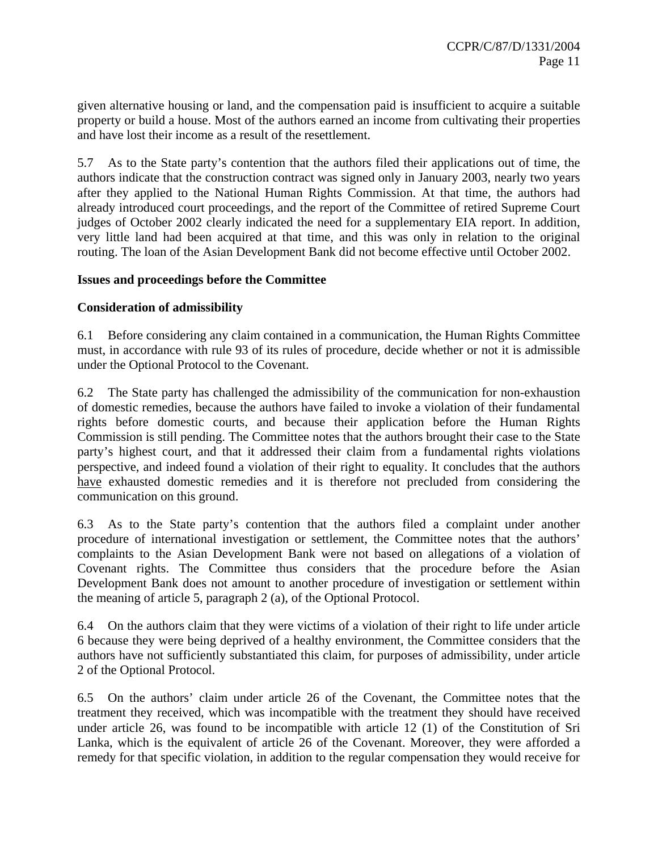given alternative housing or land, and the compensation paid is insufficient to acquire a suitable property or build a house. Most of the authors earned an income from cultivating their properties and have lost their income as a result of the resettlement.

5.7 As to the State party's contention that the authors filed their applications out of time, the authors indicate that the construction contract was signed only in January 2003, nearly two years after they applied to the National Human Rights Commission. At that time, the authors had already introduced court proceedings, and the report of the Committee of retired Supreme Court judges of October 2002 clearly indicated the need for a supplementary EIA report. In addition, very little land had been acquired at that time, and this was only in relation to the original routing. The loan of the Asian Development Bank did not become effective until October 2002.

### **Issues and proceedings before the Committee**

### **Consideration of admissibility**

6.1 Before considering any claim contained in a communication, the Human Rights Committee must, in accordance with rule 93 of its rules of procedure, decide whether or not it is admissible under the Optional Protocol to the Covenant.

6.2 The State party has challenged the admissibility of the communication for non-exhaustion of domestic remedies, because the authors have failed to invoke a violation of their fundamental rights before domestic courts, and because their application before the Human Rights Commission is still pending. The Committee notes that the authors brought their case to the State party's highest court, and that it addressed their claim from a fundamental rights violations perspective, and indeed found a violation of their right to equality. It concludes that the authors have exhausted domestic remedies and it is therefore not precluded from considering the communication on this ground.

6.3 As to the State party's contention that the authors filed a complaint under another procedure of international investigation or settlement, the Committee notes that the authors' complaints to the Asian Development Bank were not based on allegations of a violation of Covenant rights. The Committee thus considers that the procedure before the Asian Development Bank does not amount to another procedure of investigation or settlement within the meaning of article 5, paragraph 2 (a), of the Optional Protocol.

6.4 On the authors claim that they were victims of a violation of their right to life under article 6 because they were being deprived of a healthy environment, the Committee considers that the authors have not sufficiently substantiated this claim, for purposes of admissibility, under article 2 of the Optional Protocol.

6.5 On the authors' claim under article 26 of the Covenant, the Committee notes that the treatment they received, which was incompatible with the treatment they should have received under article 26, was found to be incompatible with article 12 (1) of the Constitution of Sri Lanka, which is the equivalent of article 26 of the Covenant. Moreover, they were afforded a remedy for that specific violation, in addition to the regular compensation they would receive for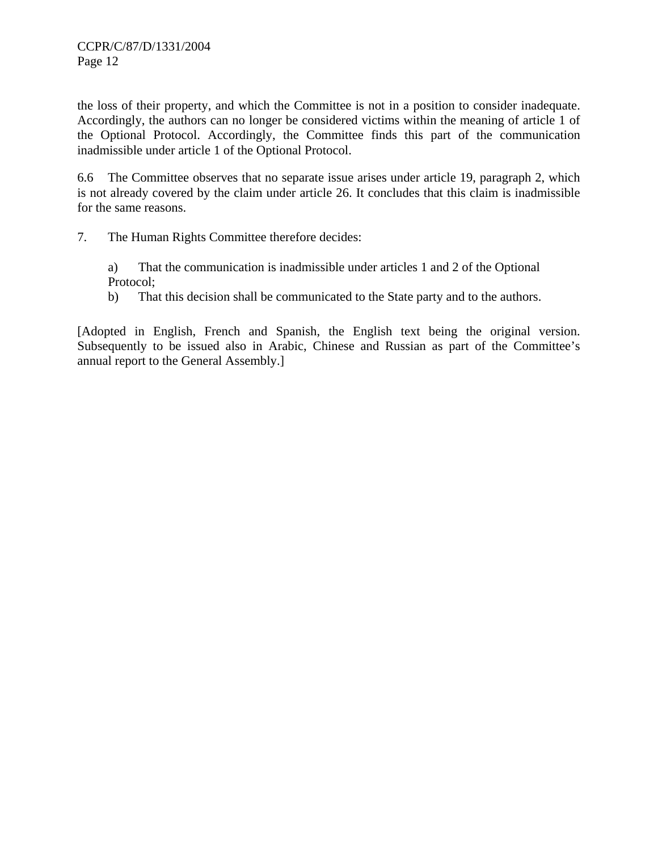the loss of their property, and which the Committee is not in a position to consider inadequate. Accordingly, the authors can no longer be considered victims within the meaning of article 1 of the Optional Protocol. Accordingly, the Committee finds this part of the communication inadmissible under article 1 of the Optional Protocol.

6.6 The Committee observes that no separate issue arises under article 19, paragraph 2, which is not already covered by the claim under article 26. It concludes that this claim is inadmissible for the same reasons.

7. The Human Rights Committee therefore decides:

a) That the communication is inadmissible under articles 1 and 2 of the Optional Protocol;

b) That this decision shall be communicated to the State party and to the authors.

[Adopted in English, French and Spanish, the English text being the original version. Subsequently to be issued also in Arabic, Chinese and Russian as part of the Committee's annual report to the General Assembly.]